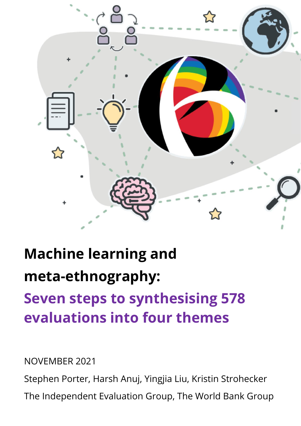

# **Machine learning and meta-ethnography:**

## **Seven steps to synthesising 578 evaluations into four themes**

NOVEMBER 2021

Stephen Porter, Harsh Anuj, Yingjia Liu, Kristin Strohecker

The Independent Evaluation Group, The World Bank Group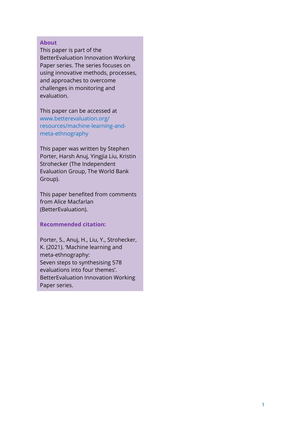#### **About**

This paper is part of the BetterEvaluation Innovation Working Paper series. The series focuses on using innovative methods, processes, and approaches to overcome challenges in monitoring and evaluation.

This paper can be accessed at [www.betterevaluation.org/](https://www.betterevaluation.org/en/resources/machine-learning-and-meta-ethnography) [resources/machine-learning-and](https://www.betterevaluation.org/en/resources/machine-learning-and-meta-ethnography)[meta-ethnography](https://www.betterevaluation.org/en/resources/machine-learning-and-meta-ethnography)

This paper was written by Stephen Porter, Harsh Anuj, Yingjia Liu, Kristin Strohecker (The Independent Evaluation Group, The World Bank Group).

This paper benefited from comments from Alice Macfarlan (BetterEvaluation).

#### **Recommended citation:**

Porter, S., Anuj, H., Liu, Y., Strohecker, K. (2021). 'Machine learning and meta-ethnography: Seven steps to synthesising 578 evaluations into four themes'. BetterEvaluation Innovation Working Paper series.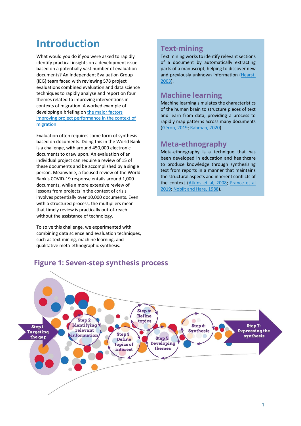## **Introduction**

What would you do if you were asked to rapidly identify practical insights on a development issue based on a potentially vast number of evaluation documents? An Independent Evaluation Group (IEG) team faced with reviewing 578 project evaluations combined evaluation and data science techniques to rapidly analyse and report on four themes related to improving interventions in contexts of migration. A worked example of developing a briefing o[n the major factors](https://ieg.worldbankgroup.org/sites/default/files/Data/Topic/brief_improving-project-performance-in-context-migration_2020.pdf)  [improving project performance in the context of](https://ieg.worldbankgroup.org/sites/default/files/Data/Topic/brief_improving-project-performance-in-context-migration_2020.pdf)  [migration](https://ieg.worldbankgroup.org/sites/default/files/Data/Topic/brief_improving-project-performance-in-context-migration_2020.pdf)

Evaluation often requires some form of synthesis based on documents. Doing this in the World Bank is a challenge, with around 450,000 electronic documents to draw upon. An evaluation of an individual project can require a review of 15 of these documents and be accomplished by a single person. Meanwhile, a focused review of the World Bank's COVID-19 response entails around 1,000 documents, while a more extensive review of lessons from projects in the context of crisis involves potentially over 10,000 documents. Even with a structured process, the multipliers mean that timely review is practically out-of-reach without the assistance of technology.

To solve this challenge, we experimented with combining data science and evaluation techniques, such as text mining, machine learning, and qualitative meta-ethnographic synthesis.

#### **Text-mining**

Text mining works to identify relevant sections of a document by automatically extracting parts of a manuscript, helping to discover new and previously unknown information (Hearst, [2003\)](https://people.ischool.berkeley.edu/~hearst/text-mining.html).

#### **Machine learning**

Machine learning simulates the characteristics of the human brain to structure pieces of text and learn from data, providing a process to rapidly map patterns across many documents [\(Géron, 2019;](https://www.amazon.com/Hands-Machine-Learning-Scikit-Learn-TensorFlow/dp/1491962291) [Rahman, 2020\)](https://link.springer.com/book/10.1007%2F978-981-15-1735-8).

#### **Meta-ethnography**

Meta-ethnography is a technique that has been developed in education and healthcare to produce knowledge through synthesising text from reports in a manner that maintains the structural aspects and inherent conflicts of the context [\(Atkins et al, 2008;](https://www.ncbi.nlm.nih.gov/pmc/articles/PMC2374791/) [France et al](https://bmcmedresmethodol.biomedcentral.com/track/pdf/10.1186/s12874-018-0600-0.pdf)  [2019;](https://bmcmedresmethodol.biomedcentral.com/track/pdf/10.1186/s12874-018-0600-0.pdf) [Nobilt and Hare, 1988\)](https://us.sagepub.com/en-us/nam/meta-ethnography/book2416).

#### **Figure 1: Seven-step synthesis process**

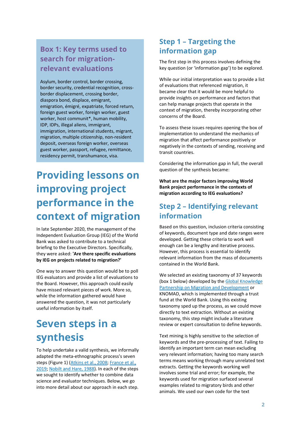#### **Box 1: Key terms used to search for migrationrelevant evaluations**

Asylum, border control, border crossing, border security, credential recognition, crossborder displacement, crossing border, diaspora bond, displace, emigrant, emigration, émigré, expatriate, forced return, foreign guest worker, foreign worker, guest worker, host communit\*, human mobility, IDP, IDPs, illegal aliens, immigrant, immigration, international students, migrant, migration, multiple citizenship, non-resident deposit, overseas foreign worker, overseas guest worker, passport, refugee, remittance, residency permit, transhumance, visa.

## **Providing lessons on improving project performance in the context of migration**

In late September 2020, the management of the Independent Evaluation Group (IEG) of the World Bank was asked to contribute to a technical briefing to the Executive Directors. Specifically, they were asked: **'Are there specific evaluations by IEG on projects related to migration?'**

One way to answer this question would be to poll IEG evaluators and provide a list of evaluations to the Board. However, this approach could easily have missed relevant pieces of work. More so, while the information gathered would have answered the question, it was not particularly useful information by itself.

## **Seven steps in a synthesis**

To help undertake a valid synthesis, we informally adapted the meta-ethnographic process's seven steps (Figure 1) [\(Atkins et al., 2008;](https://www.ncbi.nlm.nih.gov/pmc/articles/PMC2374791/) [France et al.,](https://bmcmedresmethodol.biomedcentral.com/track/pdf/10.1186/s12874-018-0600-0.pdf)  [2019;](https://bmcmedresmethodol.biomedcentral.com/track/pdf/10.1186/s12874-018-0600-0.pdf) [Nobilt and Hare, 1988\)](https://us.sagepub.com/en-us/nam/meta-ethnography/book2416). In each of the steps we sought to identify whether to combine data science and evaluator techniques. Below, we go into more detail about our approach in each step.

#### **Step 1 – Targeting the information gap**

The first step in this process involves defining the key question (or 'information gap') to be explored.

While our initial interpretation was to provide a list of evaluations that referenced migration, it became clear that it would be more helpful to provide insights on performance and factors that can help manage projects that operate in the context of migration, thereby incorporating other concerns of the Board.

To assess these issues requires opening the box of implementation to understand the mechanics of migration that affect performance positively or negatively in the contexts of sending, receiving and transit countries.

Considering the information gap in full, the overall question of the synthesis became:

**What are the major factors improving World Bank project performance in the contexts of migration according to IEG evaluations?** 

#### **Step 2 – Identifying relevant information**

Based on this question, inclusion criteria consisting of keywords, document type and date ranges were developed. Getting these criteria to work well enough can be a lengthy and iterative process. However, this process is essential to identify relevant information from the mass of documents contained in the World Bank.

We selected an existing taxonomy of 37 keywords (box 1 below) developed by the [Global Knowledge](https://www.knomad.org/about-us)  [Partnership on Migration and Development](https://www.knomad.org/about-us) or KNOMAD, which is implemented through a trust fund at the World Bank. Using this existing taxonomy sped up the process, as we could move directly to text extraction. Without an existing taxonomy, this step might include a literature review or expert consultation to define keywords.

Text mining is highly sensitive to the selection of keywords and the pre-processing of text. Failing to identify an important term can mean excluding very relevant information; having too many search terms means working through many unrelated text extracts. Getting the keywords working well involves some trial and error; for example, the keywords used for migration surfaced several examples related to migratory birds and other animals. We used our own code for the text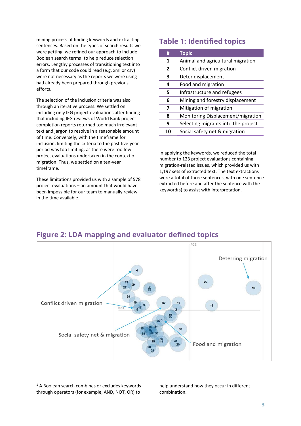mining process of finding keywords and extracting sentences. Based on the types of search results we were getting, we refined our approach to include Boolean search terms<sup>1</sup> to help reduce selection errors. Lengthy processes of transitioning text into a form that our code could read (e.g. xml or csv) were not necessary as the reports we were using had already been prepared through previous efforts.

The selection of the inclusion criteria was also through an iterative process. We settled on including only IEG project evaluations after finding that including IEG reviews of World Bank project completion reports returned too much irrelevant text and jargon to resolve in a reasonable amount of time. Conversely, with the timeframe for inclusion, limiting the criteria to the past five-year period was too limiting, as there were too few project evaluations undertaken in the context of migration. Thus, we settled on a ten-year timeframe.

These limitations provided us with a sample of 578 project evaluations – an amount that would have been impossible for our team to manually review in the time available.

#### **Table 1: Identified topics**

| #              | <b>Topic</b>                        |
|----------------|-------------------------------------|
| 1              | Animal and agricultural migration   |
| $\overline{2}$ | Conflict driven migration           |
| 3              | Deter displacement                  |
| 4              | Food and migration                  |
| 5              | Infrastructure and refugees         |
| 6              | Mining and forestry displacement    |
| 7              | Mitigation of migration             |
| 8              | Monitoring Displacement/migration   |
| 9              | Selecting migrants into the project |
| 10             | Social safety net & migration       |
|                |                                     |

In applying the keywords, we reduced the total number to 123 project evaluations containing migration-related issues, which provided us with 1,197 sets of extracted text. The text extractions were a total of three sentences, with one sentence extracted before and after the sentence with the keyword(s) to assist with interpretation.



#### **Figure 2: LDA mapping and evaluator defined topics**

<sup>1</sup> A Boolean search combines or excludes keywords through operators (for example, AND, NOT, OR) to

help understand how they occur in different combination.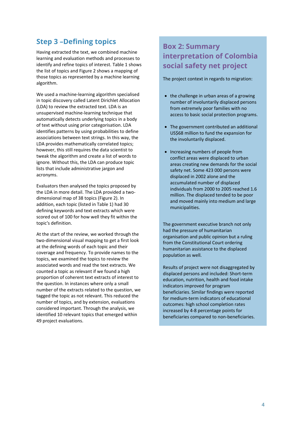#### **Step 3 –Defining topics**

Having extracted the text, we combined machine learning and evaluation methods and processes to identify and refine topics of interest. Table 1 shows the list of topics and Figure 2 shows a mapping of those topics as represented by a machine learning algorithm.

We used a machine-learning algorithm specialised in topic discovery called Latent Dirichlet Allocation (LDA) to review the extracted text. LDA is an unsupervised machine-learning technique that automatically detects underlying topics in a body of text without using prior categorisation. LDA identifies patterns by using probabilities to define associations between text strings. In this way, the LDA provides mathematically correlated topics; however, this still requires the data scientist to tweak the algorithm and create a list of words to ignore. Without this, the LDA can produce topic lists that include administrative jargon and acronyms.

Evaluators then analysed the topics proposed by the LDA in more detail. The LDA provided a twodimensional map of 38 topics (Figure 2). In addition, each topic (listed in Table 1) had 30 defining keywords and text extracts which were scored out of 100 for how well they fit within the topic's definition.

At the start of the review, we worked through the two-dimensional visual mapping to get a first look at the defining words of each topic and their coverage and frequency. To provide names to the topics, we examined the topics to review the associated words and read the text extracts. We counted a topic as relevant if we found a high proportion of coherent text extracts of interest to the question. In instances where only a small number of the extracts related to the question, we tagged the topic as not relevant. This reduced the number of topics, and by extension, evaluations considered important. Through the analysis, we identified 10 relevant topics that emerged within 49 project evaluations.

#### **Box 2: Summary interpretation of Colombia social safety net project**

The project context in regards to migration:

- the challenge in urban areas of a growing number of involuntarily displaced persons from extremely poor families with no access to basic social protection programs.
- The government contributed an additional US\$68 million to fund the expansion for the involuntarily displaced.
- Increasing numbers of people from conflict areas were displaced to urban areas creating new demands for the social safety net. Some 423 000 persons were displaced in 2002 alone and the accumulated number of displaced individuals from 2000 to 2005 reached 1.6 million. The displaced tended to be poor and moved mainly into medium and large municipalities.

The government executive branch not only had the pressure of humanitarian organisation and public opinion but a ruling from the Constitutional Court ordering humanitarian assistance to the displaced population as well.

Results of project were not disaggregated by displaced persons and included: Short-term education, nutrition, health and food intake indicators improved for program beneficiaries. Similar findings were reported for medium-term indicators of educational outcomes: high school completion rates increased by 4-8 percentage points for beneficiaries compared to non-beneficiaries.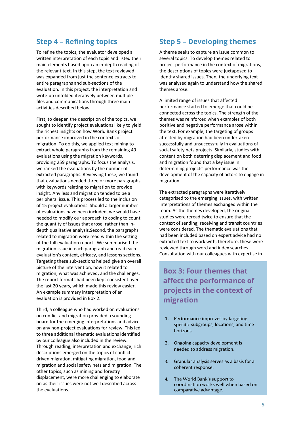#### **Step 4 – Refining topics**

To refine the topics, the evaluator developed a written interpretation of each topic and listed their main elements based upon an in-depth reading of the relevant text. In this step, the text reviewed was expanded from just the sentence extracts to entire paragraphs and sub-sections of the evaluation. In this project, the interpretation and write-up unfolded iteratively between multiple files and communications through three main activities described below.

First, to deepen the description of the topics, we sought to identify project evaluations likely to yield the richest insights on how World Bank project performance improved in the contexts of migration. To do this, we applied text mining to extract whole paragraphs from the remaining 49 evaluations using the migration keywords, providing 259 paragraphs. To focus the analysis, we ranked the evaluations by the number of extracted paragraphs. Reviewing these, we found that evaluations needed three or more paragraphs with keywords relating to migration to provide insight. Any less and migration tended to be a peripheral issue. This process led to the inclusion of 15 project evaluations. Should a larger number of evaluations have been included, we would have needed to modify our approach to coding to count the quantity of issues that arose, rather than indepth qualitative analysis.Second, the paragraphs related to migration were read within the setting of the full evaluation report. We summarised the migration issue in each paragraph and read each evaluation's context, efficacy, and lessons sections. Targeting these sub-sections helped give an overall picture of the intervention, how it related to migration, what was achieved, and the challenges. The report formats had been kept consistent over the last 20 years, which made this review easier. An example summary interpretation of an evaluation is provided in Box 2.

Third, a colleague who had worked on evaluations on conflict and migration provided a sounding board for the emerging interpretations and advice on any non-project evaluations for review. This led to three additional thematic evaluations identified by our colleague also included in the review. Through reading, interpretation and exchange, rich descriptions emerged on the topics of conflictdriven migration, mitigating migration, food and migration and social safety nets and migration. The other topics, such as mining and forestry displacement, were more challenging to elaborate on as their issues were not well described across the evaluations.

#### **Step 5 – Developing themes**

A theme seeks to capture an issue common to several topics. To develop themes related to project performance in the context of migrations, the descriptions of topics were juxtaposed to identify shared issues. Then, the underlying text was analysed again to understand how the shared themes arose.

A limited range of issues that affected performance started to emerge that could be connected across the topics. The strength of the themes was reinforced when examples of both positive and negative performance arose within the text. For example, the targeting of groups affected by migration had been undertaken successfully and unsuccessfully in evaluations of social safety nets projects. Similarly, studies with content on both deterring displacement and food and migration found that a key issue in determining projects' performance was the development of the capacity of actors to engage in migration.

The extracted paragraphs were iteratively categorised to the emerging issues, with written interpretations of themes exchanged within the team. As the themes developed, the original studies were reread twice to ensure that the context of sending, receiving and transit countries were considered. The thematic evaluations that had been included based on expert advice had no extracted text to work with; therefore, these were reviewed through word and index searches. Consultation with our colleagues with expertise in

#### **Box 3: Four themes that affect the performance of projects in the context of migration**

- 1. Performance improves by targeting specific subgroups, locations, and time horizons.
- 2. Ongoing capacity development is needed to address migration.
- 3. Granular analysis serves as a basis for a coherent response.
- 4. The World Bank's support to coordination works well when based on comparative advantage.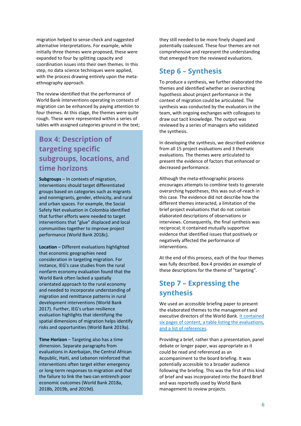migration helped to sense-check and suggested alternative interpretations. For example, while initially three themes were proposed, these were expanded to four by splitting capacity and coordination issues into their own themes. In this step, no data science techniques were applied, with the process drawing entirely upon the metaethnography approach.

The review identified that the performance of World Bank interventions operating in contexts of migration can be enhanced by paying attention to four themes. At this stage, the themes were quite rough. These were represented within a series of tables with assigned categories ground in the text;

#### **Box 4: Description of targeting specific subgroups, locations, and time horizons**

**Subgroups** – In contexts of migration, interventions should target differentiated groups based on categories such as migrants and nonmigrants, gender, ethnicity, and rural and urban spaces. For example, the Social Safety Net evaluation in Colombia identified that further efforts were needed to target interventions that "glue" displaced and local communities together to improve project performance (World Bank 2018c).

**Location** – Different evaluations highlighted that economic geographies need consideration in targeting migration. For instance, IEG's case studies from the rural nonfarm economy evaluation found that the World Bank often lacked a spatially orientated approach to the rural economy and needed to incorporate understanding of migration and remittance patterns in rural development interventions (World Bank 2017). Further, IEG's urban resilience evaluation highlights that identifying the spatial dimensions of migration helps identify risks and opportunities (World Bank 2019a).

**Time Horizon** – Targeting also has a time dimension. Separate paragraphs from evaluations in Azerbaijan, the Central African Republic, Haiti, and Lebanon reinforced that interventions often target either emergency or long-term responses to migration and that the failure to link the two can entrench poor economic outcomes (World Bank 2018a, 2018b, 2019b, and 2019d).

they still needed to be more finely shaped and potentially coalesced. These four themes are not comprehensive and represent the understanding that emerged from the reviewed evaluations.

#### **Step 6 – Synthesis**

To produce a synthesis, we further elaborated the themes and identified whether an overarching hypothesis about project performance in the context of migration could be articulated. The synthesis was conducted by the evaluators in the team, with ongoing exchanges with colleagues to draw out tacit knowledge. The output was reviewed by a series of managers who validated the synthesis.

In developing the synthesis, we described evidence from all 15 project evaluations and 3 thematic evaluations. The themes were articulated to present the evidence of factors that enhanced or decreased performance.

Although the meta-ethnographic process encourages attempts to combine texts to generate overarching hypotheses, this was out-of-reach in this case. The evidence did not describe how the different themes interacted, a limitation of the brief project evaluations that do not contain elaborated descriptions of observations or interviews. Consequently, the final synthesis was reciprocal; it contained mutually supportive evidence that identified issues that positively or negatively affected the performance of interventions.

At the end of this process, each of the four themes was fully described. Box 4 provides an example of these descriptions for the theme of "targeting".

#### **Step 7 – Expressing the synthesis**

We used an accessible briefing paper to present the elaborated themes to the management and executive directors of the World Bank[. It contained](https://ieg.worldbankgroup.org/sites/default/files/Data/Topic/brief_improving-project-performance-in-context-migration_2020.pdf)  [six pages of content, a table listing the evaluations,](https://ieg.worldbankgroup.org/sites/default/files/Data/Topic/brief_improving-project-performance-in-context-migration_2020.pdf)  [and a list of references.](https://ieg.worldbankgroup.org/sites/default/files/Data/Topic/brief_improving-project-performance-in-context-migration_2020.pdf)

Providing a brief, rather than a presentation, panel debate or longer paper, was appropriate as it could be read and referenced as an accompaniment to the board briefing. It was potentially accessible to a broader audience following the briefing. This was the first of this kind of brief and was incorporated into the Board Brief and was reportedly used by World Bank management to review projects.